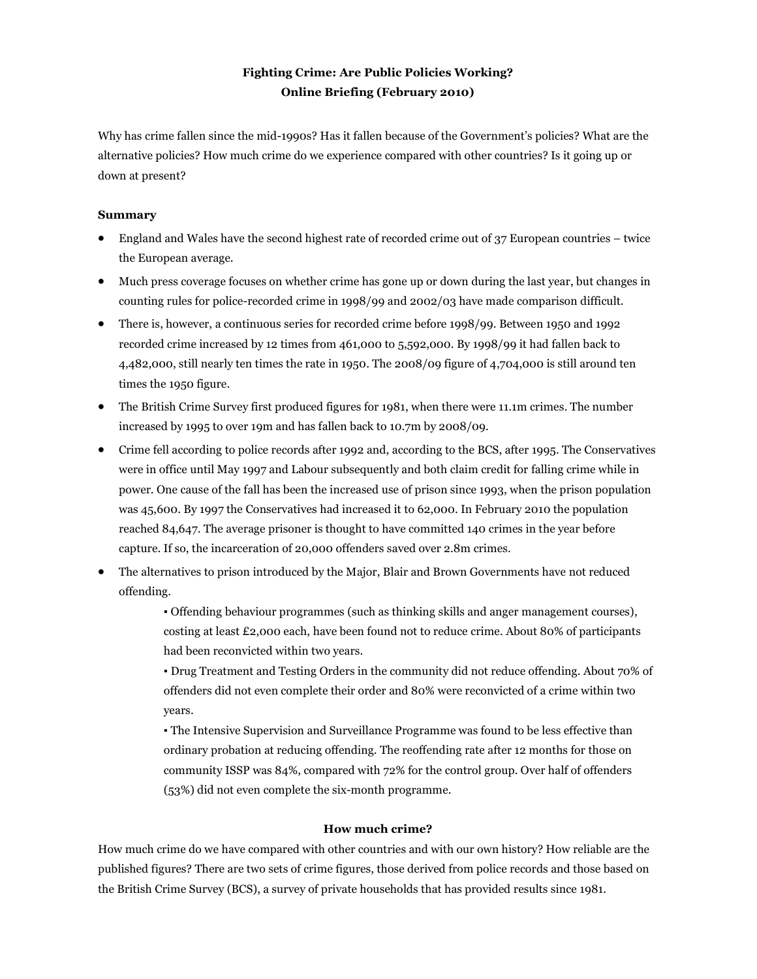## **Fighting Crime: Are Public Policies Working? Online Briefing (February 2010)**

Why has crime fallen since the mid-1990s? Has it fallen because of the Government's policies? What are the alternative policies? How much crime do we experience compared with other countries? Is it going up or down at present?

## **Summary**

- England and Wales have the second highest rate of recorded crime out of 37 European countries twice the European average.
- Much press coverage focuses on whether crime has gone up or down during the last year, but changes in counting rules for police-recorded crime in 1998/99 and 2002/03 have made comparison difficult.
- There is, however, a continuous series for recorded crime before 1998/99. Between 1950 and 1992 recorded crime increased by 12 times from 461,000 to 5,592,000. By 1998/99 it had fallen back to 4,482,000, still nearly ten times the rate in 1950. The 2008/09 figure of 4,704,000 is still around ten times the 1950 figure.
- The British Crime Survey first produced figures for 1981, when there were 11.1m crimes. The number increased by 1995 to over 19m and has fallen back to 10.7m by 2008/09.
- Crime fell according to police records after 1992 and, according to the BCS, after 1995. The Conservatives were in office until May 1997 and Labour subsequently and both claim credit for falling crime while in power. One cause of the fall has been the increased use of prison since 1993, when the prison population was 45,600. By 1997 the Conservatives had increased it to 62,000. In February 2010 the population reached 84,647. The average prisoner is thought to have committed 140 crimes in the year before capture. If so, the incarceration of 20,000 offenders saved over 2.8m crimes.
- The alternatives to prison introduced by the Major, Blair and Brown Governments have not reduced offending.

▪ Offending behaviour programmes (such as thinking skills and anger management courses), costing at least £2,000 each, have been found not to reduce crime. About 80% of participants had been reconvicted within two years.

▪ Drug Treatment and Testing Orders in the community did not reduce offending. About 70% of offenders did not even complete their order and 80% were reconvicted of a crime within two years.

▪ The Intensive Supervision and Surveillance Programme was found to be less effective than ordinary probation at reducing offending. The reoffending rate after 12 months for those on community ISSP was 84%, compared with 72% for the control group. Over half of offenders (53%) did not even complete the six-month programme.

## **How much crime?**

How much crime do we have compared with other countries and with our own history? How reliable are the published figures? There are two sets of crime figures, those derived from police records and those based on the British Crime Survey (BCS), a survey of private households that has provided results since 1981.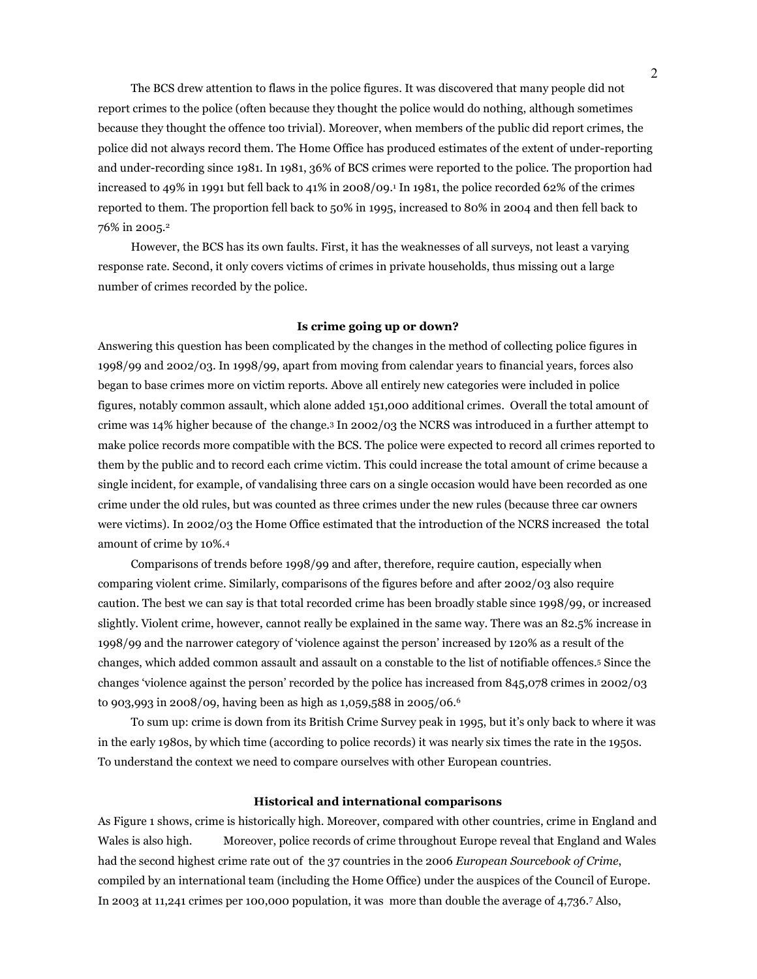The BCS drew attention to flaws in the police figures. It was discovered that many people did not report crimes to the police (often because they thought the police would do nothing, although sometimes because they thought the offence too trivial). Moreover, when members of the public did report crimes, the police did not always record them. The Home Office has produced estimates of the extent of under-reporting and under-recording since 1981. In 1981, 36% of BCS crimes were reported to the police. The proportion had increased to 49% in 1991 but fell back to 41% in 2008/09.<sup>1</sup> In 1981, the police recorded 62% of the crimes reported to them. The proportion fell back to 50% in 1995, increased to 80% in 2004 and then fell back to 76% in 2005.<sup>2</sup>

 However, the BCS has its own faults. First, it has the weaknesses of all surveys, not least a varying response rate. Second, it only covers victims of crimes in private households, thus missing out a large number of crimes recorded by the police.

#### **Is crime going up or down?**

Answering this question has been complicated by the changes in the method of collecting police figures in 1998/99 and 2002/03. In 1998/99, apart from moving from calendar years to financial years, forces also began to base crimes more on victim reports. Above all entirely new categories were included in police figures, notably common assault, which alone added 151,000 additional crimes. Overall the total amount of crime was 14% higher because of the change.3 In 2002/03 the NCRS was introduced in a further attempt to make police records more compatible with the BCS. The police were expected to record all crimes reported to them by the public and to record each crime victim. This could increase the total amount of crime because a single incident, for example, of vandalising three cars on a single occasion would have been recorded as one crime under the old rules, but was counted as three crimes under the new rules (because three car owners were victims). In 2002/03 the Home Office estimated that the introduction of the NCRS increased the total amount of crime by 10%.<sup>4</sup>

 Comparisons of trends before 1998/99 and after, therefore, require caution, especially when comparing violent crime. Similarly, comparisons of the figures before and after 2002/03 also require caution. The best we can say is that total recorded crime has been broadly stable since 1998/99, or increased slightly. Violent crime, however, cannot really be explained in the same way. There was an 82.5% increase in 1998/99 and the narrower category of 'violence against the person' increased by 120% as a result of the changes, which added common assault and assault on a constable to the list of notifiable offences.5 Since the changes 'violence against the person' recorded by the police has increased from 845,078 crimes in 2002/03 to 903,993 in 2008/09, having been as high as 1,059,588 in 2005/06.<sup>6</sup>

 To sum up: crime is down from its British Crime Survey peak in 1995, but it's only back to where it was in the early 1980s, by which time (according to police records) it was nearly six times the rate in the 1950s. To understand the context we need to compare ourselves with other European countries.

#### **Historical and international comparisons**

As Figure 1 shows, crime is historically high. Moreover, compared with other countries, crime in England and Wales is also high. Moreover, police records of crime throughout Europe reveal that England and Wales had the second highest crime rate out of the 37 countries in the 2006 *European Sourcebook of Crime*, compiled by an international team (including the Home Office) under the auspices of the Council of Europe. In 2003 at 11,241 crimes per 100,000 population, it was more than double the average of 4,736.<sup>7</sup> Also,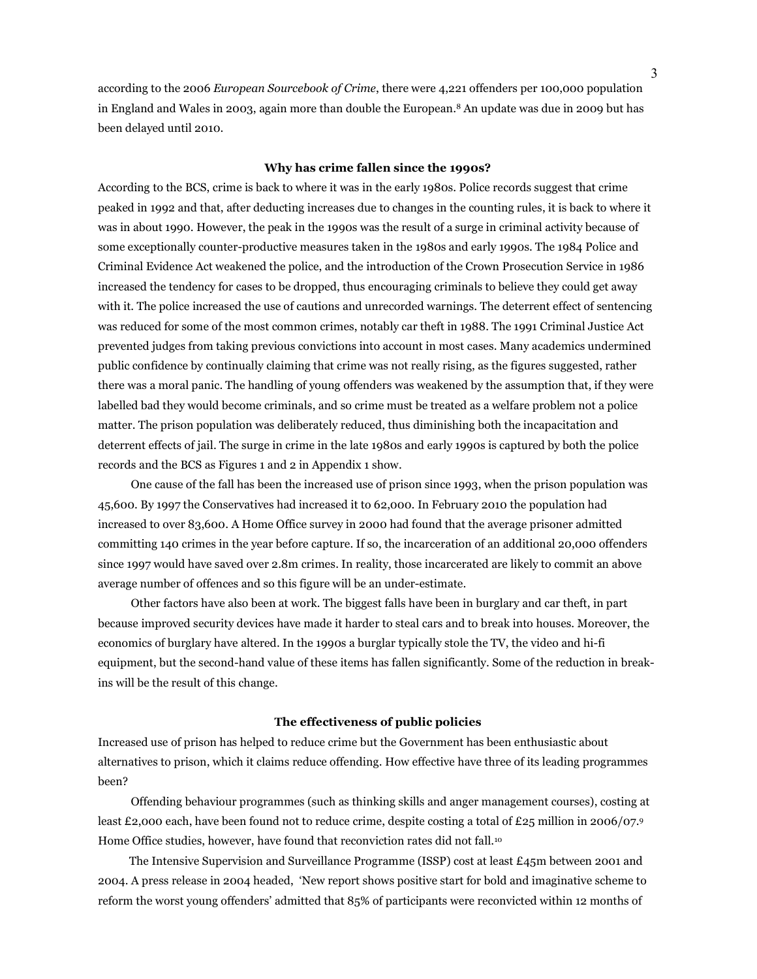according to the 2006 *European Sourcebook of Crime*, there were 4,221 offenders per 100,000 population in England and Wales in 2003, again more than double the European.8 An update was due in 2009 but has been delayed until 2010.

#### **Why has crime fallen since the 1990s?**

According to the BCS, crime is back to where it was in the early 1980s. Police records suggest that crime peaked in 1992 and that, after deducting increases due to changes in the counting rules, it is back to where it was in about 1990. However, the peak in the 1990s was the result of a surge in criminal activity because of some exceptionally counter-productive measures taken in the 1980s and early 1990s. The 1984 Police and Criminal Evidence Act weakened the police, and the introduction of the Crown Prosecution Service in 1986 increased the tendency for cases to be dropped, thus encouraging criminals to believe they could get away with it. The police increased the use of cautions and unrecorded warnings. The deterrent effect of sentencing was reduced for some of the most common crimes, notably car theft in 1988. The 1991 Criminal Justice Act prevented judges from taking previous convictions into account in most cases. Many academics undermined public confidence by continually claiming that crime was not really rising, as the figures suggested, rather there was a moral panic. The handling of young offenders was weakened by the assumption that, if they were labelled bad they would become criminals, and so crime must be treated as a welfare problem not a police matter. The prison population was deliberately reduced, thus diminishing both the incapacitation and deterrent effects of jail. The surge in crime in the late 1980s and early 1990s is captured by both the police records and the BCS as Figures 1 and 2 in Appendix 1 show.

 One cause of the fall has been the increased use of prison since 1993, when the prison population was 45,600. By 1997 the Conservatives had increased it to 62,000. In February 2010 the population had increased to over 83,600. A Home Office survey in 2000 had found that the average prisoner admitted committing 140 crimes in the year before capture. If so, the incarceration of an additional 20,000 offenders since 1997 would have saved over 2.8m crimes. In reality, those incarcerated are likely to commit an above average number of offences and so this figure will be an under-estimate.

 Other factors have also been at work. The biggest falls have been in burglary and car theft, in part because improved security devices have made it harder to steal cars and to break into houses. Moreover, the economics of burglary have altered. In the 1990s a burglar typically stole the TV, the video and hi-fi equipment, but the second-hand value of these items has fallen significantly. Some of the reduction in breakins will be the result of this change.

## **The effectiveness of public policies**

Increased use of prison has helped to reduce crime but the Government has been enthusiastic about alternatives to prison, which it claims reduce offending. How effective have three of its leading programmes been?

 Offending behaviour programmes (such as thinking skills and anger management courses), costing at least £2,000 each, have been found not to reduce crime, despite costing a total of £25 million in 2006/07.9 Home Office studies, however, have found that reconviction rates did not fall.<sup>10</sup>

 The Intensive Supervision and Surveillance Programme (ISSP) cost at least £45m between 2001 and 2004. A press release in 2004 headed, 'New report shows positive start for bold and imaginative scheme to reform the worst young offenders' admitted that 85% of participants were reconvicted within 12 months of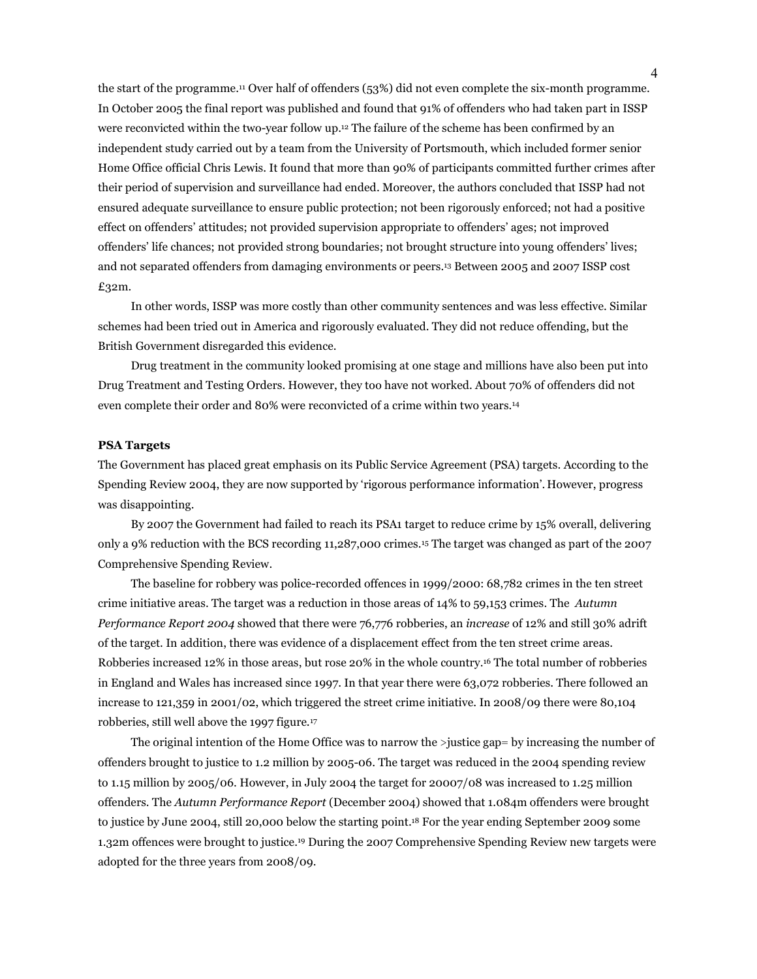the start of the programme.11 Over half of offenders (53%) did not even complete the six-month programme. In October 2005 the final report was published and found that 91% of offenders who had taken part in ISSP were reconvicted within the two-year follow up.12 The failure of the scheme has been confirmed by an independent study carried out by a team from the University of Portsmouth, which included former senior Home Office official Chris Lewis. It found that more than 90% of participants committed further crimes after their period of supervision and surveillance had ended. Moreover, the authors concluded that ISSP had not ensured adequate surveillance to ensure public protection; not been rigorously enforced; not had a positive effect on offenders' attitudes; not provided supervision appropriate to offenders' ages; not improved offenders' life chances; not provided strong boundaries; not brought structure into young offenders' lives; and not separated offenders from damaging environments or peers.13 Between 2005 and 2007 ISSP cost £32m.

 In other words, ISSP was more costly than other community sentences and was less effective. Similar schemes had been tried out in America and rigorously evaluated. They did not reduce offending, but the British Government disregarded this evidence.

 Drug treatment in the community looked promising at one stage and millions have also been put into Drug Treatment and Testing Orders. However, they too have not worked. About 70% of offenders did not even complete their order and 80% were reconvicted of a crime within two years.<sup>14</sup>

#### **PSA Targets**

The Government has placed great emphasis on its Public Service Agreement (PSA) targets. According to the Spending Review 2004, they are now supported by 'rigorous performance information'. However, progress was disappointing.

 By 2007 the Government had failed to reach its PSA1 target to reduce crime by 15% overall, delivering only a 9% reduction with the BCS recording 11,287,000 crimes.15 The target was changed as part of the 2007 Comprehensive Spending Review.

 The baseline for robbery was police-recorded offences in 1999/2000: 68,782 crimes in the ten street crime initiative areas. The target was a reduction in those areas of 14% to 59,153 crimes. The *Autumn Performance Report 2004* showed that there were 76,776 robberies, an *increase* of 12% and still 30% adrift of the target. In addition, there was evidence of a displacement effect from the ten street crime areas. Robberies increased 12% in those areas, but rose 20% in the whole country.16 The total number of robberies in England and Wales has increased since 1997. In that year there were 63,072 robberies. There followed an increase to 121,359 in 2001/02, which triggered the street crime initiative. In 2008/09 there were 80,104 robberies, still well above the 1997 figure.<sup>17</sup>

 The original intention of the Home Office was to narrow the >justice gap= by increasing the number of offenders brought to justice to 1.2 million by 2005-06. The target was reduced in the 2004 spending review to 1.15 million by 2005/06. However, in July 2004 the target for 20007/08 was increased to 1.25 million offenders. The *Autumn Performance Report* (December 2004) showed that 1.084m offenders were brought to justice by June 2004, still 20,000 below the starting point.18 For the year ending September 2009 some 1.32m offences were brought to justice.19 During the 2007 Comprehensive Spending Review new targets were adopted for the three years from 2008/09.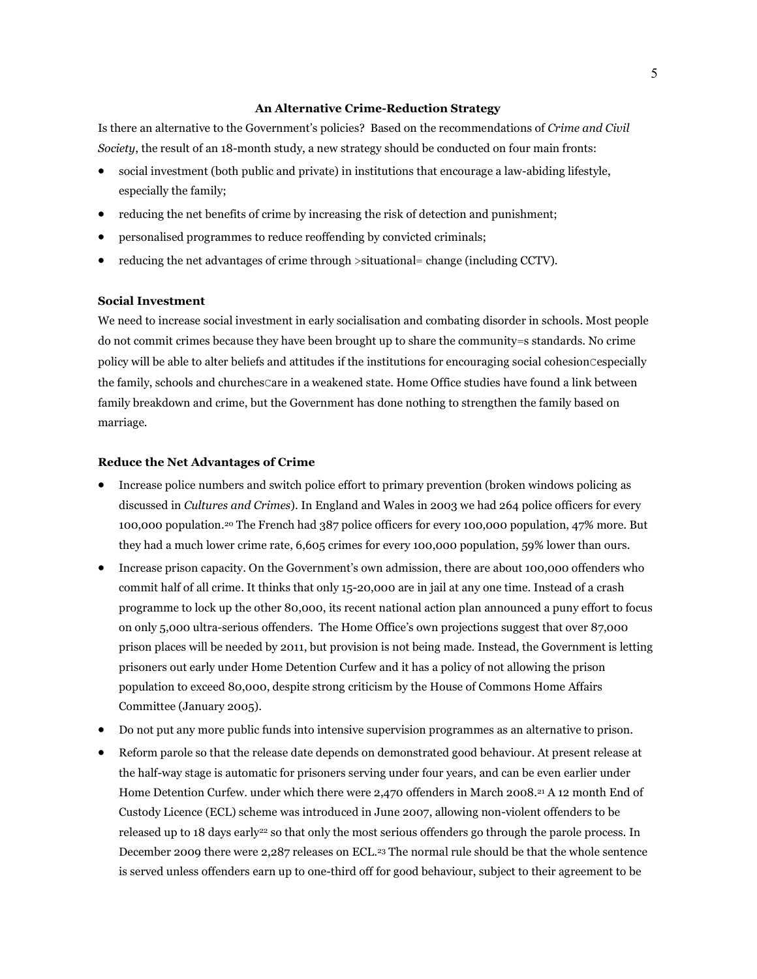## **An Alternative Crime-Reduction Strategy**

Is there an alternative to the Government's policies? Based on the recommendations of *Crime and Civil Society*, the result of an 18-month study, a new strategy should be conducted on four main fronts:

- social investment (both public and private) in institutions that encourage a law-abiding lifestyle, especially the family;
- reducing the net benefits of crime by increasing the risk of detection and punishment;
- personalised programmes to reduce reoffending by convicted criminals;
- reducing the net advantages of crime through >situational= change (including CCTV).

## **Social Investment**

We need to increase social investment in early socialisation and combating disorder in schools. Most people do not commit crimes because they have been brought up to share the community=s standards. No crime policy will be able to alter beliefs and attitudes if the institutions for encouraging social cohesionCespecially the family, schools and churchesCare in a weakened state. Home Office studies have found a link between family breakdown and crime, but the Government has done nothing to strengthen the family based on marriage.

### **Reduce the Net Advantages of Crime**

- Increase police numbers and switch police effort to primary prevention (broken windows policing as discussed in *Cultures and Crimes*). In England and Wales in 2003 we had 264 police officers for every 100,000 population.20 The French had 387 police officers for every 100,000 population, 47% more. But they had a much lower crime rate, 6,605 crimes for every 100,000 population, 59% lower than ours.
- Increase prison capacity. On the Government's own admission, there are about 100,000 offenders who commit half of all crime. It thinks that only 15-20,000 are in jail at any one time. Instead of a crash programme to lock up the other 80,000, its recent national action plan announced a puny effort to focus on only 5,000 ultra-serious offenders. The Home Office's own projections suggest that over 87,000 prison places will be needed by 2011, but provision is not being made. Instead, the Government is letting prisoners out early under Home Detention Curfew and it has a policy of not allowing the prison population to exceed 80,000, despite strong criticism by the House of Commons Home Affairs Committee (January 2005).
- Do not put any more public funds into intensive supervision programmes as an alternative to prison.
- Reform parole so that the release date depends on demonstrated good behaviour. At present release at the half-way stage is automatic for prisoners serving under four years, and can be even earlier under Home Detention Curfew. under which there were 2,470 offenders in March 2008.21 A 12 month End of Custody Licence (ECL) scheme was introduced in June 2007, allowing non-violent offenders to be released up to 18 days early<sup>22</sup> so that only the most serious offenders go through the parole process. In December 2009 there were 2,287 releases on ECL.23 The normal rule should be that the whole sentence is served unless offenders earn up to one-third off for good behaviour, subject to their agreement to be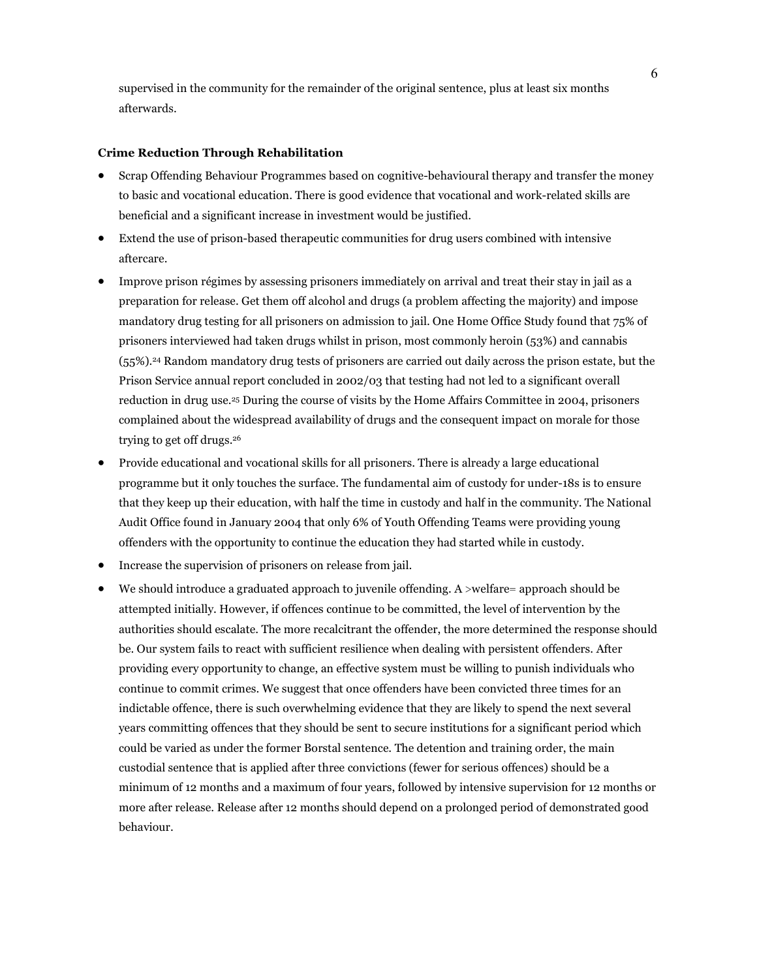supervised in the community for the remainder of the original sentence, plus at least six months afterwards.

#### **Crime Reduction Through Rehabilitation**

- Scrap Offending Behaviour Programmes based on cognitive-behavioural therapy and transfer the money to basic and vocational education. There is good evidence that vocational and work-related skills are beneficial and a significant increase in investment would be justified.
- Extend the use of prison-based therapeutic communities for drug users combined with intensive aftercare.
- Improve prison régimes by assessing prisoners immediately on arrival and treat their stay in jail as a preparation for release. Get them off alcohol and drugs (a problem affecting the majority) and impose mandatory drug testing for all prisoners on admission to jail. One Home Office Study found that 75% of prisoners interviewed had taken drugs whilst in prison, most commonly heroin (53%) and cannabis (55%).24 Random mandatory drug tests of prisoners are carried out daily across the prison estate, but the Prison Service annual report concluded in 2002/03 that testing had not led to a significant overall reduction in drug use.25 During the course of visits by the Home Affairs Committee in 2004, prisoners complained about the widespread availability of drugs and the consequent impact on morale for those trying to get off drugs.<sup>26</sup>
- Provide educational and vocational skills for all prisoners. There is already a large educational programme but it only touches the surface. The fundamental aim of custody for under-18s is to ensure that they keep up their education, with half the time in custody and half in the community. The National Audit Office found in January 2004 that only 6% of Youth Offending Teams were providing young offenders with the opportunity to continue the education they had started while in custody.
- Increase the supervision of prisoners on release from jail.
- We should introduce a graduated approach to juvenile offending. A >welfare= approach should be attempted initially. However, if offences continue to be committed, the level of intervention by the authorities should escalate. The more recalcitrant the offender, the more determined the response should be. Our system fails to react with sufficient resilience when dealing with persistent offenders. After providing every opportunity to change, an effective system must be willing to punish individuals who continue to commit crimes. We suggest that once offenders have been convicted three times for an indictable offence, there is such overwhelming evidence that they are likely to spend the next several years committing offences that they should be sent to secure institutions for a significant period which could be varied as under the former Borstal sentence. The detention and training order, the main custodial sentence that is applied after three convictions (fewer for serious offences) should be a minimum of 12 months and a maximum of four years, followed by intensive supervision for 12 months or more after release. Release after 12 months should depend on a prolonged period of demonstrated good behaviour.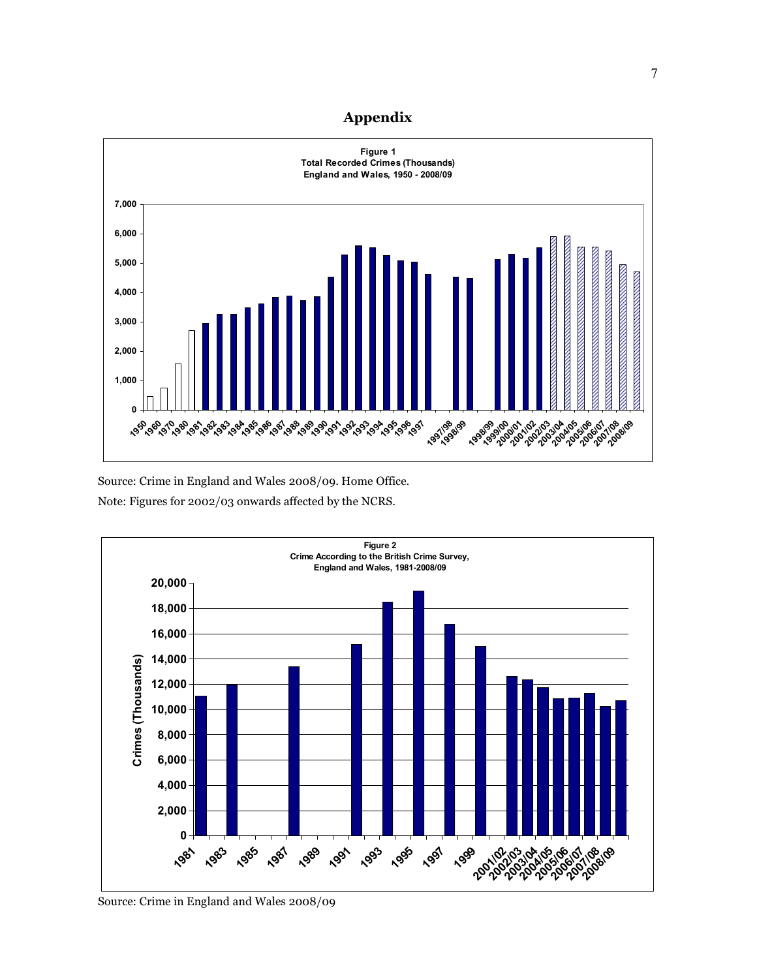# **Appendix**



Source: Crime in England and Wales 2008/09. Home Office. Note: Figures for 2002/03 onwards affected by the NCRS.



Source: Crime in England and Wales 2008/09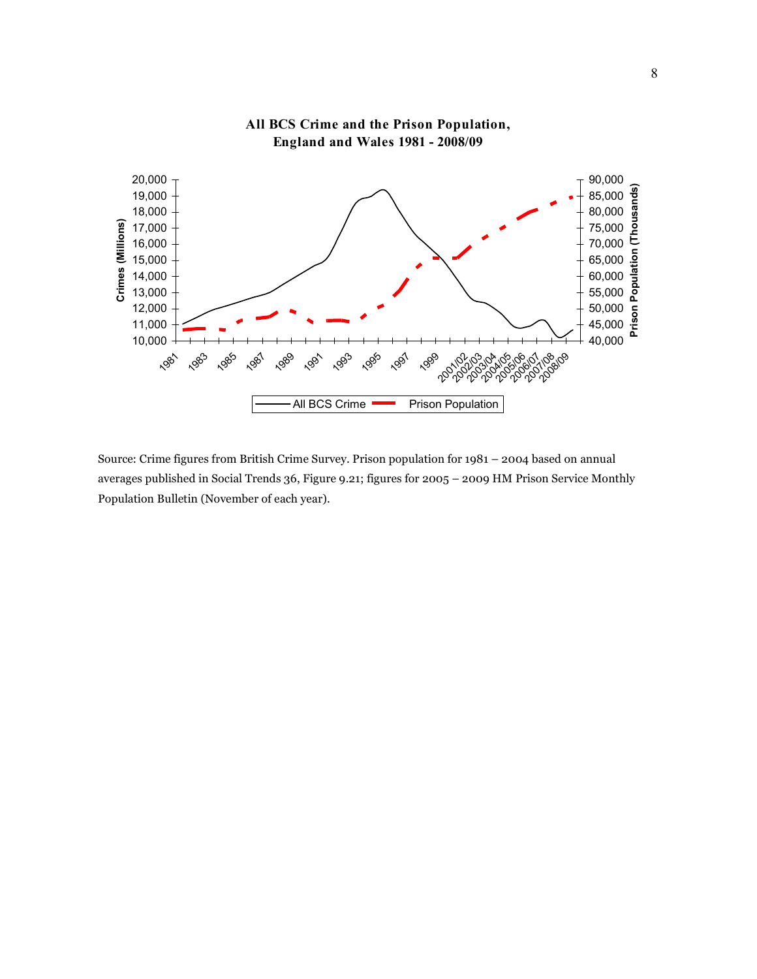

**All BCS Crime and the Prison Population, England and Wales 1981 - 2008/09**

Source: Crime figures from British Crime Survey. Prison population for 1981 – 2004 based on annual averages published in Social Trends 36, Figure 9.21; figures for 2005 – 2009 HM Prison Service Monthly Population Bulletin (November of each year).